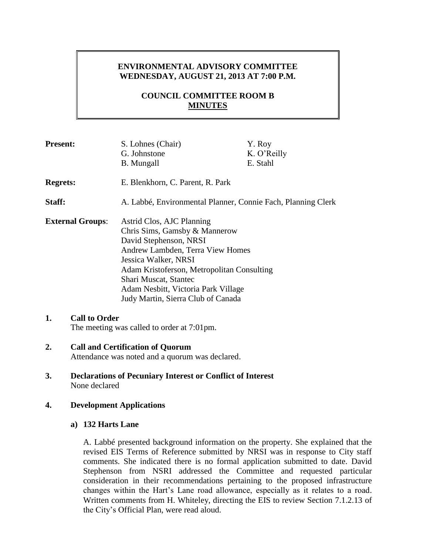# **ENVIRONMENTAL ADVISORY COMMITTEE WEDNESDAY, AUGUST 21, 2013 AT 7:00 P.M.**

# **COUNCIL COMMITTEE ROOM B MINUTES**

| <b>Present:</b>            | S. Lohnes (Chair)                                            | Y. Roy      |
|----------------------------|--------------------------------------------------------------|-------------|
|                            | G. Johnstone                                                 | K. O'Reilly |
|                            | <b>B.</b> Mungall                                            | E. Stahl    |
| <b>Regrets:</b>            | E. Blenkhorn, C. Parent, R. Park                             |             |
| Staff:                     | A. Labbé, Environmental Planner, Connie Fach, Planning Clerk |             |
| <b>External Groups:</b>    | Astrid Clos, AJC Planning                                    |             |
|                            | Chris Sims, Gamsby & Mannerow                                |             |
|                            | David Stephenson, NRSI                                       |             |
|                            | Andrew Lambden, Terra View Homes                             |             |
|                            | Jessica Walker, NRSI                                         |             |
|                            | Adam Kristoferson, Metropolitan Consulting                   |             |
|                            | Shari Muscat, Stantec                                        |             |
|                            | Adam Nesbitt, Victoria Park Village                          |             |
|                            | Judy Martin, Sierra Club of Canada                           |             |
|                            |                                                              |             |
| <b>Call to Order</b><br>1. |                                                              |             |
|                            | The meeting was called to order at 7:01pm.                   |             |

**2. Call and Certification of Quorum** Attendance was noted and a quorum was declared.

**3. Declarations of Pecuniary Interest or Conflict of Interest** None declared

## **4. Development Applications**

## **a) 132 Harts Lane**

A. Labbé presented background information on the property. She explained that the revised EIS Terms of Reference submitted by NRSI was in response to City staff comments. She indicated there is no formal application submitted to date. David Stephenson from NSRI addressed the Committee and requested particular consideration in their recommendations pertaining to the proposed infrastructure changes within the Hart's Lane road allowance, especially as it relates to a road. Written comments from H. Whiteley, directing the EIS to review Section 7.1.2.13 of the City's Official Plan, were read aloud.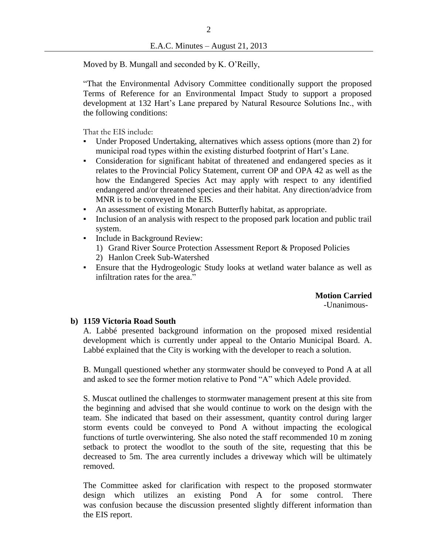Moved by B. Mungall and seconded by K. O'Reilly,

"That the Environmental Advisory Committee conditionally support the proposed Terms of Reference for an Environmental Impact Study to support a proposed development at 132 Hart's Lane prepared by Natural Resource Solutions Inc., with the following conditions:

That the EIS include:

- Under Proposed Undertaking, alternatives which assess options (more than 2) for municipal road types within the existing disturbed footprint of Hart's Lane.
- Consideration for significant habitat of threatened and endangered species as it relates to the Provincial Policy Statement, current OP and OPA 42 as well as the how the Endangered Species Act may apply with respect to any identified endangered and/or threatened species and their habitat. Any direction/advice from MNR is to be conveyed in the EIS.
- An assessment of existing Monarch Butterfly habitat, as appropriate.
- Inclusion of an analysis with respect to the proposed park location and public trail system.
- Include in Background Review:
	- 1) Grand River Source Protection Assessment Report & Proposed Policies
	- 2) Hanlon Creek Sub-Watershed
- Ensure that the Hydrogeologic Study looks at wetland water balance as well as infiltration rates for the area."

**Motion Carried** -Unanimous-

## **b) 1159 Victoria Road South**

A. Labbé presented background information on the proposed mixed residential development which is currently under appeal to the Ontario Municipal Board. A. Labbé explained that the City is working with the developer to reach a solution.

B. Mungall questioned whether any stormwater should be conveyed to Pond A at all and asked to see the former motion relative to Pond "A" which Adele provided.

S. Muscat outlined the challenges to stormwater management present at this site from the beginning and advised that she would continue to work on the design with the team. She indicated that based on their assessment, quantity control during larger storm events could be conveyed to Pond A without impacting the ecological functions of turtle overwintering. She also noted the staff recommended 10 m zoning setback to protect the woodlot to the south of the site, requesting that this be decreased to 5m. The area currently includes a driveway which will be ultimately removed.

The Committee asked for clarification with respect to the proposed stormwater design which utilizes an existing Pond A for some control. There was confusion because the discussion presented slightly different information than the EIS report.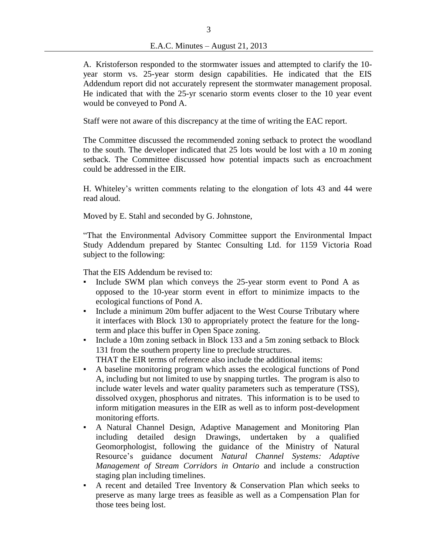A. Kristoferson responded to the stormwater issues and attempted to clarify the 10 year storm vs. 25-year storm design capabilities. He indicated that the EIS Addendum report did not accurately represent the stormwater management proposal. He indicated that with the 25-yr scenario storm events closer to the 10 year event would be conveyed to Pond A.

Staff were not aware of this discrepancy at the time of writing the EAC report.

The Committee discussed the recommended zoning setback to protect the woodland to the south. The developer indicated that 25 lots would be lost with a 10 m zoning setback. The Committee discussed how potential impacts such as encroachment could be addressed in the EIR.

H. Whiteley's written comments relating to the elongation of lots 43 and 44 were read aloud.

Moved by E. Stahl and seconded by G. Johnstone,

"That the Environmental Advisory Committee support the Environmental Impact Study Addendum prepared by Stantec Consulting Ltd. for 1159 Victoria Road subject to the following:

That the EIS Addendum be revised to:

- Include SWM plan which conveys the 25-year storm event to Pond A as opposed to the 10-year storm event in effort to minimize impacts to the ecological functions of Pond A.
- Include a minimum 20m buffer adjacent to the West Course Tributary where it interfaces with Block 130 to appropriately protect the feature for the longterm and place this buffer in Open Space zoning.
- Include a 10m zoning setback in Block 133 and a 5m zoning setback to Block 131 from the southern property line to preclude structures. THAT the EIR terms of reference also include the additional items:
- A baseline monitoring program which asses the ecological functions of Pond A, including but not limited to use by snapping turtles. The program is also to include water levels and water quality parameters such as temperature (TSS), dissolved oxygen, phosphorus and nitrates. This information is to be used to inform mitigation measures in the EIR as well as to inform post-development monitoring efforts.
- A Natural Channel Design, Adaptive Management and Monitoring Plan including detailed design Drawings, undertaken by a qualified Geomorphologist, following the guidance of the Ministry of Natural Resource's guidance document *Natural Channel Systems: Adaptive Management of Stream Corridors in Ontario* and include a construction staging plan including timelines.
- $\blacksquare$  A recent and detailed Tree Inventory & Conservation Plan which seeks to preserve as many large trees as feasible as well as a Compensation Plan for those tees being lost.